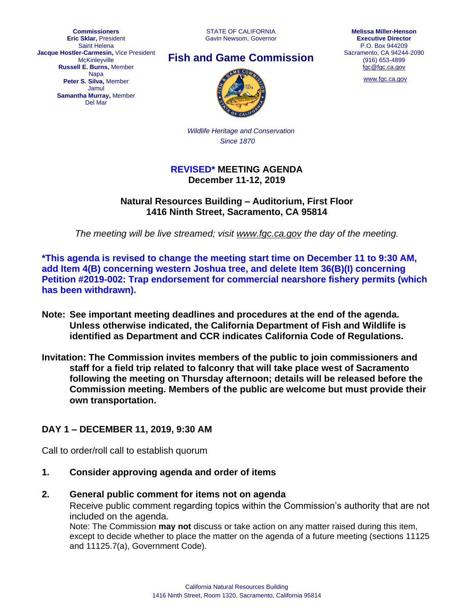**Commissioners Eric Sklar,** President Saint Helena **Jacque Hostler-Carmesin,** Vice President McKinleyville **Russell E. Burns,** Member Napa **Peter S. Silva,** Member Jamul **Samantha Murray,** Member Del Mar

STATE OF CALIFORNIA Gavin Newsom, Governor





[www.fgc.ca.gov](http://www.fgc.ca.gov/)



*Wildlife Heritage and Conservation Since 1870*

#### **REVISED\* MEETING AGENDA December 11-12, 2019**

**Natural Resources Building – Auditorium, First Floor 1416 Ninth Street, Sacramento, CA 95814**

*The meeting will be live streamed; visit [www.fgc.ca.gov](http://www.fgc.ca.gov/) the day of the meeting.*

**\*This agenda is revised to change the meeting start time on December 11 to 9:30 AM, add Item 4(B) concerning western Joshua tree, and delete Item 36(B)(I) concerning Petition #2019-002: Trap endorsement for commercial nearshore fishery permits (which has been withdrawn).** 

- **Note: See important meeting deadlines and procedures at the end of the agenda. Unless otherwise indicated, the California Department of Fish and Wildlife is identified as Department and CCR indicates California Code of Regulations.**
- **Invitation: The Commission invites members of the public to join commissioners and staff for a field trip related to falconry that will take place west of Sacramento following the meeting on Thursday afternoon; details will be released before the Commission meeting. Members of the public are welcome but must provide their own transportation.**

#### **DAY 1 – DECEMBER 11, 2019, 9:30 AM**

Call to order/roll call to establish quorum

- **1. Consider approving agenda and order of items**
- **2. General public comment for items not on agenda**

Receive public comment regarding topics within the Commission's authority that are not included on the agenda.

Note: The Commission **may not** discuss or take action on any matter raised during this item, except to decide whether to place the matter on the agenda of a future meeting (sections 11125 and 11125.7(a), Government Code).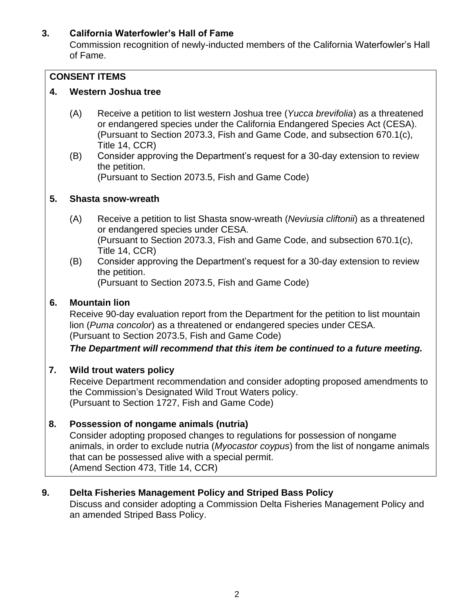# **3. California Waterfowler's Hall of Fame**

Commission recognition of newly-inducted members of the California Waterfowler's Hall of Fame.

# **CONSENT ITEMS**

# **4. Western Joshua tree**

- (A) Receive a petition to list western Joshua tree (*Yucca brevifolia*) as a threatened or endangered species under the California Endangered Species Act (CESA). (Pursuant to Section 2073.3, Fish and Game Code, and subsection 670.1(c), Title 14, CCR)
- (B) Consider approving the Department's request for a 30-day extension to review the petition.

(Pursuant to Section 2073.5, Fish and Game Code)

## **5. Shasta snow-wreath**

- (A) Receive a petition to list Shasta snow-wreath (*Neviusia cliftonii*) as a threatened or endangered species under CESA. (Pursuant to Section 2073.3, Fish and Game Code, and subsection 670.1(c), Title 14, CCR)
- (B) Consider approving the Department's request for a 30-day extension to review the petition. (Pursuant to Section 2073.5, Fish and Game Code)

# **6. Mountain lion**

Receive 90-day evaluation report from the Department for the petition to list mountain lion (*Puma concolor*) as a threatened or endangered species under CESA. (Pursuant to Section 2073.5, Fish and Game Code)

*The Department will recommend that this item be continued to a future meeting.*

# **7. Wild trout waters policy**

Receive Department recommendation and consider adopting proposed amendments to the Commission's Designated Wild Trout Waters policy. (Pursuant to Section 1727, Fish and Game Code)

## **8. Possession of nongame animals (nutria)**

Consider adopting proposed changes to regulations for possession of nongame animals, in order to exclude nutria (*Myocastor coypus*) from the list of nongame animals that can be possessed alive with a special permit. (Amend Section 473, Title 14, CCR)

## **9. Delta Fisheries Management Policy and Striped Bass Policy**

Discuss and consider adopting a Commission Delta Fisheries Management Policy and an amended Striped Bass Policy.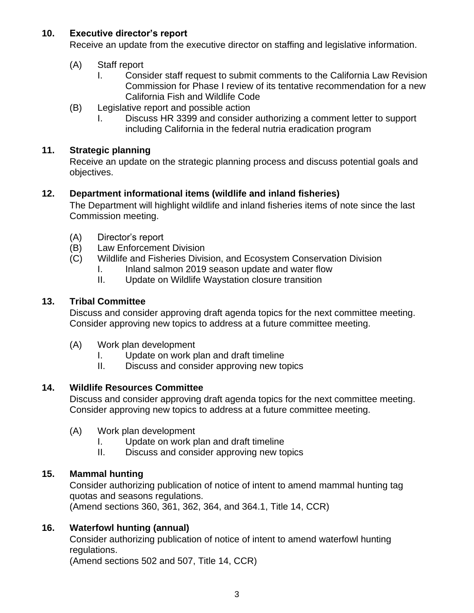## **10. Executive director's report**

Receive an update from the executive director on staffing and legislative information.

#### (A) Staff report

- I. Consider staff request to submit comments to the California Law Revision Commission for Phase I review of its tentative recommendation for a new California Fish and Wildlife Code
- (B) Legislative report and possible action
	- I. Discuss HR 3399 and consider authorizing a comment letter to support including California in the federal nutria eradication program

#### **11. Strategic planning**

Receive an update on the strategic planning process and discuss potential goals and objectives.

#### **12. Department informational items (wildlife and inland fisheries)**

The Department will highlight wildlife and inland fisheries items of note since the last Commission meeting.

- (A) Director's report
- (B) Law Enforcement Division
- (C) Wildlife and Fisheries Division, and Ecosystem Conservation Division
	- I. Inland salmon 2019 season update and water flow
	- II. Update on Wildlife Waystation closure transition

#### **13. Tribal Committee**

Discuss and consider approving draft agenda topics for the next committee meeting. Consider approving new topics to address at a future committee meeting.

- (A) Work plan development
	- I. Update on work plan and draft timeline
	- II. Discuss and consider approving new topics

## **14. Wildlife Resources Committee**

Discuss and consider approving draft agenda topics for the next committee meeting. Consider approving new topics to address at a future committee meeting.

- (A) Work plan development
	- I. Update on work plan and draft timeline
	- II. Discuss and consider approving new topics

## **15. Mammal hunting**

Consider authorizing publication of notice of intent to amend mammal hunting tag quotas and seasons regulations.

(Amend sections 360, 361, 362, 364, and 364.1, Title 14, CCR)

## **16. Waterfowl hunting (annual)**

Consider authorizing publication of notice of intent to amend waterfowl hunting regulations.

(Amend sections 502 and 507, Title 14, CCR)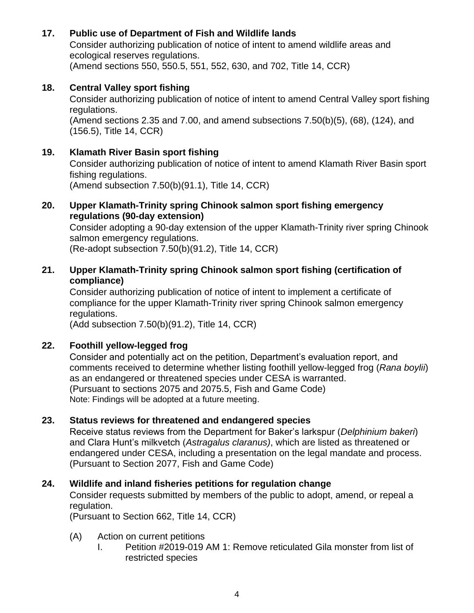# **17. Public use of Department of Fish and Wildlife lands**

Consider authorizing publication of notice of intent to amend wildlife areas and ecological reserves regulations. (Amend sections 550, 550.5, 551, 552, 630, and 702, Title 14, CCR)

#### **18. Central Valley sport fishing**

Consider authorizing publication of notice of intent to amend Central Valley sport fishing regulations.

(Amend sections 2.35 and 7.00, and amend subsections 7.50(b)(5), (68), (124), and (156.5), Title 14, CCR)

#### **19. Klamath River Basin sport fishing**

Consider authorizing publication of notice of intent to amend Klamath River Basin sport fishing regulations.

(Amend subsection 7.50(b)(91.1), Title 14, CCR)

#### **20. Upper Klamath-Trinity spring Chinook salmon sport fishing emergency regulations (90-day extension)**

Consider adopting a 90-day extension of the upper Klamath-Trinity river spring Chinook salmon emergency regulations.

(Re-adopt subsection 7.50(b)(91.2), Title 14, CCR)

#### **21. Upper Klamath-Trinity spring Chinook salmon sport fishing (certification of compliance)**

Consider authorizing publication of notice of intent to implement a certificate of compliance for the upper Klamath-Trinity river spring Chinook salmon emergency regulations.

(Add subsection 7.50(b)(91.2), Title 14, CCR)

## **22. Foothill yellow-legged frog**

Consider and potentially act on the petition, Department's evaluation report, and comments received to determine whether listing foothill yellow-legged frog (*Rana boylii*) as an endangered or threatened species under CESA is warranted. (Pursuant to sections 2075 and 2075.5, Fish and Game Code) Note: Findings will be adopted at a future meeting.

## **23. Status reviews for threatened and endangered species**

Receive status reviews from the Department for Baker's larkspur (*Delphinium bakeri*) and Clara Hunt's milkvetch (*Astragalus claranus)*, which are listed as threatened or endangered under CESA, including a presentation on the legal mandate and process. (Pursuant to Section 2077, Fish and Game Code)

## **24. Wildlife and inland fisheries petitions for regulation change**

Consider requests submitted by members of the public to adopt, amend, or repeal a regulation.

(Pursuant to Section 662, Title 14, CCR)

- (A) Action on current petitions
	- I. Petition #2019-019 AM 1: Remove reticulated Gila monster from list of restricted species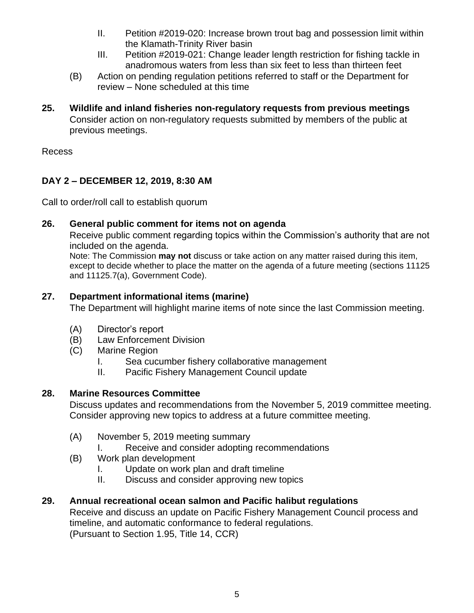- II. Petition #2019-020: Increase brown trout bag and possession limit within the Klamath-Trinity River basin
- III. Petition #2019-021: Change leader length restriction for fishing tackle in anadromous waters from less than six feet to less than thirteen feet
- (B) Action on pending regulation petitions referred to staff or the Department for review – None scheduled at this time
- **25. Wildlife and inland fisheries non-regulatory requests from previous meetings** Consider action on non-regulatory requests submitted by members of the public at previous meetings.

Recess

# **DAY 2 – DECEMBER 12, 2019, 8:30 AM**

Call to order/roll call to establish quorum

## **26. General public comment for items not on agenda**

Receive public comment regarding topics within the Commission's authority that are not included on the agenda.

Note: The Commission **may not** discuss or take action on any matter raised during this item, except to decide whether to place the matter on the agenda of a future meeting (sections 11125 and 11125.7(a), Government Code).

## **27. Department informational items (marine)**

The Department will highlight marine items of note since the last Commission meeting.

- (A) Director's report
- (B) Law Enforcement Division
- (C) Marine Region
	- I. Sea cucumber fishery collaborative management
	- II. Pacific Fishery Management Council update

# **28. Marine Resources Committee**

Discuss updates and recommendations from the November 5, 2019 committee meeting. Consider approving new topics to address at a future committee meeting.

- (A) November 5, 2019 meeting summary
	- I. Receive and consider adopting recommendations
- (B) Work plan development
	- I. Update on work plan and draft timeline
	- II. Discuss and consider approving new topics

# **29. Annual recreational ocean salmon and Pacific halibut regulations**

Receive and discuss an update on Pacific Fishery Management Council process and timeline, and automatic conformance to federal regulations. (Pursuant to Section 1.95, Title 14, CCR)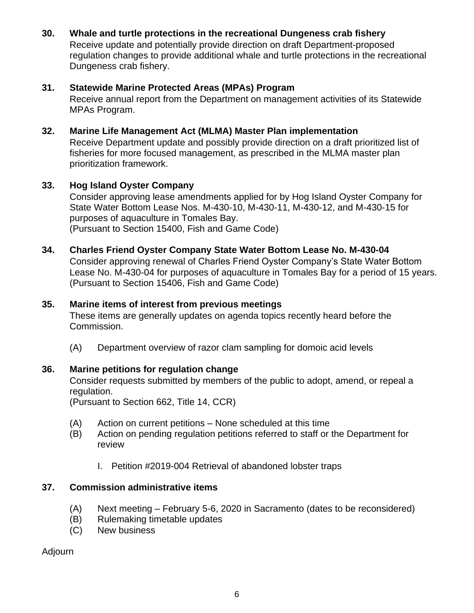## **30. Whale and turtle protections in the recreational Dungeness crab fishery**

Receive update and potentially provide direction on draft Department-proposed regulation changes to provide additional whale and turtle protections in the recreational Dungeness crab fishery.

## **31. Statewide Marine Protected Areas (MPAs) Program**

Receive annual report from the Department on management activities of its Statewide MPAs Program.

# **32. Marine Life Management Act (MLMA) Master Plan implementation**

Receive Department update and possibly provide direction on a draft prioritized list of fisheries for more focused management, as prescribed in the MLMA master plan prioritization framework.

# **33. Hog Island Oyster Company**

Consider approving lease amendments applied for by Hog Island Oyster Company for State Water Bottom Lease Nos. M-430-10, M-430-11, M-430-12, and M-430-15 for purposes of aquaculture in Tomales Bay. (Pursuant to Section 15400, Fish and Game Code)

#### **34. Charles Friend Oyster Company State Water Bottom Lease No. M-430-04**

Consider approving renewal of Charles Friend Oyster Company's State Water Bottom Lease No. M-430-04 for purposes of aquaculture in Tomales Bay for a period of 15 years. (Pursuant to Section 15406, Fish and Game Code)

#### **35. Marine items of interest from previous meetings**

These items are generally updates on agenda topics recently heard before the Commission.

(A) Department overview of razor clam sampling for domoic acid levels

## **36. Marine petitions for regulation change**

Consider requests submitted by members of the public to adopt, amend, or repeal a regulation.

(Pursuant to Section 662, Title 14, CCR)

- (A) Action on current petitions None scheduled at this time
- (B) Action on pending regulation petitions referred to staff or the Department for review
	- I. Petition #2019-004 Retrieval of abandoned lobster traps

## **37. Commission administrative items**

- (A) Next meeting February 5-6, 2020 in Sacramento (dates to be reconsidered)
- (B) Rulemaking timetable updates
- (C) New business

Adjourn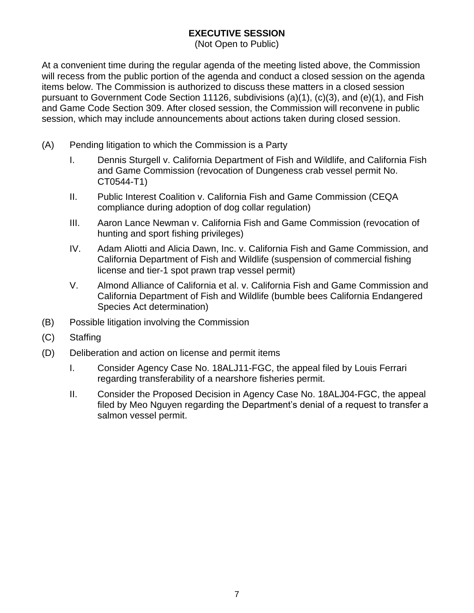# **EXECUTIVE SESSION**

(Not Open to Public)

At a convenient time during the regular agenda of the meeting listed above, the Commission will recess from the public portion of the agenda and conduct a closed session on the agenda items below. The Commission is authorized to discuss these matters in a closed session pursuant to Government Code Section 11126, subdivisions (a)(1), (c)(3), and (e)(1), and Fish and Game Code Section 309. After closed session, the Commission will reconvene in public session, which may include announcements about actions taken during closed session.

- (A) Pending litigation to which the Commission is a Party
	- I. Dennis Sturgell v. California Department of Fish and Wildlife, and California Fish and Game Commission (revocation of Dungeness crab vessel permit No. CT0544-T1)
	- II. Public Interest Coalition v. California Fish and Game Commission (CEQA compliance during adoption of dog collar regulation)
	- III. Aaron Lance Newman v. California Fish and Game Commission (revocation of hunting and sport fishing privileges)
	- IV. Adam Aliotti and Alicia Dawn, Inc. v. California Fish and Game Commission, and California Department of Fish and Wildlife (suspension of commercial fishing license and tier-1 spot prawn trap vessel permit)
	- V. Almond Alliance of California et al. v. California Fish and Game Commission and California Department of Fish and Wildlife (bumble bees California Endangered Species Act determination)
- (B) Possible litigation involving the Commission
- (C) Staffing
- (D) Deliberation and action on license and permit items
	- I. Consider Agency Case No. 18ALJ11-FGC, the appeal filed by Louis Ferrari regarding transferability of a nearshore fisheries permit.
	- II. Consider the Proposed Decision in Agency Case No. 18ALJ04-FGC, the appeal filed by Meo Nguyen regarding the Department's denial of a request to transfer a salmon vessel permit.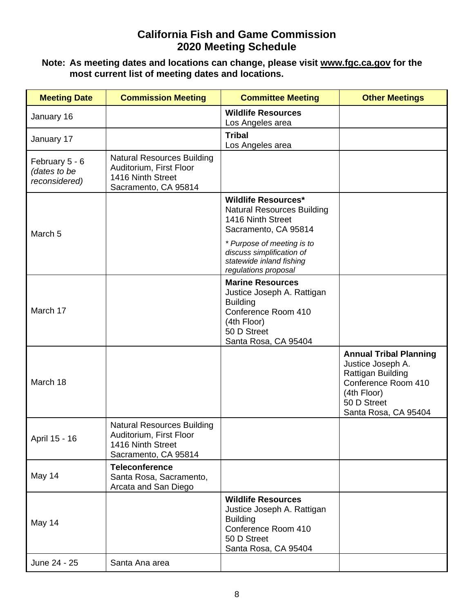# **California Fish and Game Commission 2020 Meeting Schedule**

#### **Note: As meeting dates and locations can change, please visit [www.fgc.ca.gov](http://www.fgc.ca.gov/) for the most current list of meeting dates and locations.**

| <b>Meeting Date</b>                             | <b>Commission Meeting</b>                                                                                 | <b>Committee Meeting</b>                                                                                                                              | <b>Other Meetings</b>                                                                                                                                |
|-------------------------------------------------|-----------------------------------------------------------------------------------------------------------|-------------------------------------------------------------------------------------------------------------------------------------------------------|------------------------------------------------------------------------------------------------------------------------------------------------------|
| January 16                                      |                                                                                                           | <b>Wildlife Resources</b><br>Los Angeles area                                                                                                         |                                                                                                                                                      |
| January 17                                      |                                                                                                           | <b>Tribal</b><br>Los Angeles area                                                                                                                     |                                                                                                                                                      |
| February 5 - 6<br>(dates to be<br>reconsidered) | <b>Natural Resources Building</b><br>Auditorium, First Floor<br>1416 Ninth Street<br>Sacramento, CA 95814 |                                                                                                                                                       |                                                                                                                                                      |
| March <sub>5</sub>                              |                                                                                                           | <b>Wildlife Resources*</b><br><b>Natural Resources Building</b><br>1416 Ninth Street<br>Sacramento, CA 95814                                          |                                                                                                                                                      |
|                                                 |                                                                                                           | * Purpose of meeting is to<br>discuss simplification of<br>statewide inland fishing<br>regulations proposal                                           |                                                                                                                                                      |
| March 17                                        |                                                                                                           | <b>Marine Resources</b><br>Justice Joseph A. Rattigan<br><b>Building</b><br>Conference Room 410<br>(4th Floor)<br>50 D Street<br>Santa Rosa, CA 95404 |                                                                                                                                                      |
| March 18                                        |                                                                                                           |                                                                                                                                                       | <b>Annual Tribal Planning</b><br>Justice Joseph A.<br>Rattigan Building<br>Conference Room 410<br>(4th Floor)<br>50 D Street<br>Santa Rosa, CA 95404 |
| April 15 - 16                                   | <b>Natural Resources Building</b><br>Auditorium, First Floor<br>1416 Ninth Street<br>Sacramento, CA 95814 |                                                                                                                                                       |                                                                                                                                                      |
| May 14                                          | <b>Teleconference</b><br>Santa Rosa, Sacramento,<br>Arcata and San Diego                                  |                                                                                                                                                       |                                                                                                                                                      |
| May 14                                          |                                                                                                           | <b>Wildlife Resources</b><br>Justice Joseph A. Rattigan<br><b>Building</b><br>Conference Room 410<br>50 D Street<br>Santa Rosa, CA 95404              |                                                                                                                                                      |
| June 24 - 25                                    | Santa Ana area                                                                                            |                                                                                                                                                       |                                                                                                                                                      |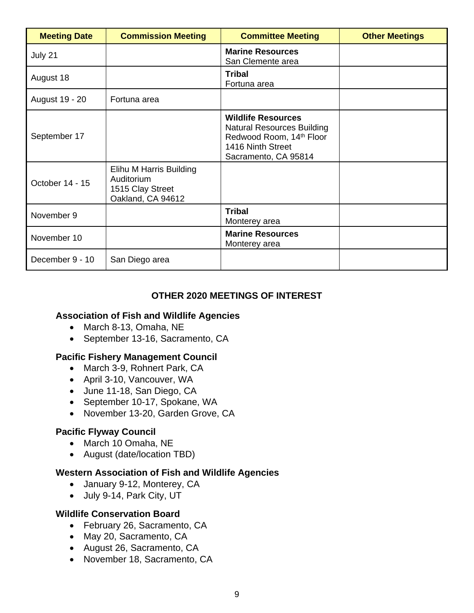| <b>Meeting Date</b> | <b>Commission Meeting</b>                                                      | <b>Committee Meeting</b>                                                                                                                | <b>Other Meetings</b> |
|---------------------|--------------------------------------------------------------------------------|-----------------------------------------------------------------------------------------------------------------------------------------|-----------------------|
| July 21             |                                                                                | <b>Marine Resources</b><br>San Clemente area                                                                                            |                       |
| August 18           |                                                                                | <b>Tribal</b><br>Fortuna area                                                                                                           |                       |
| August 19 - 20      | Fortuna area                                                                   |                                                                                                                                         |                       |
| September 17        |                                                                                | <b>Wildlife Resources</b><br><b>Natural Resources Building</b><br>Redwood Room, 14th Floor<br>1416 Ninth Street<br>Sacramento, CA 95814 |                       |
| October 14 - 15     | Elihu M Harris Building<br>Auditorium<br>1515 Clay Street<br>Oakland, CA 94612 |                                                                                                                                         |                       |
| November 9          |                                                                                | <b>Tribal</b><br>Monterey area                                                                                                          |                       |
| November 10         |                                                                                | <b>Marine Resources</b><br>Monterey area                                                                                                |                       |
| December 9 - 10     | San Diego area                                                                 |                                                                                                                                         |                       |

#### **OTHER 2020 MEETINGS OF INTEREST**

## **Association of Fish and Wildlife Agencies**

- March 8-13, Omaha, NE
- September 13-16, Sacramento, CA

#### **Pacific Fishery Management Council**

- March 3-9, Rohnert Park, CA
- April 3-10, Vancouver, WA
- June 11-18, San Diego, CA
- September 10-17, Spokane, WA
- November 13-20, Garden Grove, CA

## **Pacific Flyway Council**

- March 10 Omaha, NE
- August (date/location TBD)

#### **Western Association of Fish and Wildlife Agencies**

- January 9-12, Monterey, CA
- July 9-14, Park City, UT

#### **Wildlife Conservation Board**

- February 26, Sacramento, CA
- May 20, Sacramento, CA
- August 26, Sacramento, CA
- November 18, Sacramento, CA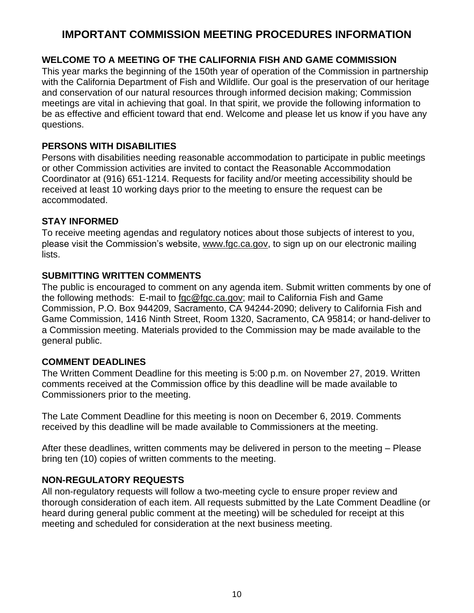# **IMPORTANT COMMISSION MEETING PROCEDURES INFORMATION**

# **WELCOME TO A MEETING OF THE CALIFORNIA FISH AND GAME COMMISSION**

This year marks the beginning of the 150th year of operation of the Commission in partnership with the California Department of Fish and Wildlife. Our goal is the preservation of our heritage and conservation of our natural resources through informed decision making; Commission meetings are vital in achieving that goal. In that spirit, we provide the following information to be as effective and efficient toward that end. Welcome and please let us know if you have any questions.

## **PERSONS WITH DISABILITIES**

Persons with disabilities needing reasonable accommodation to participate in public meetings or other Commission activities are invited to contact the Reasonable Accommodation Coordinator at (916) 651-1214. Requests for facility and/or meeting accessibility should be received at least 10 working days prior to the meeting to ensure the request can be accommodated.

#### **STAY INFORMED**

To receive meeting agendas and regulatory notices about those subjects of interest to you, please visit the Commission's website, [www.fgc.ca.gov,](file://///HQGroup3.AD.Dfg.Ca.Gov/HQ10/Groups/FGC/Meetings/Agendas/2019/12%20Dec%2011-12%20FGC/Drafts/www.fgc.ca.gov) to sign up on our electronic mailing lists.

#### **SUBMITTING WRITTEN COMMENTS**

The public is encouraged to comment on any agenda item. Submit written comments by one of the following methods: E-mail to [fgc@fgc.ca.gov;](file://///HQGroup3.AD.Dfg.Ca.Gov/HQ10/Groups/FGC/Meetings/Agendas/2019/12%20Dec%2011-12%20FGC/Drafts/fgc@fgc.ca.gov) mail to California Fish and Game Commission, P.O. Box 944209, Sacramento, CA 94244-2090; delivery to California Fish and Game Commission, 1416 Ninth Street, Room 1320, Sacramento, CA 95814; or hand-deliver to a Commission meeting. Materials provided to the Commission may be made available to the general public.

## **COMMENT DEADLINES**

The Written Comment Deadline for this meeting is 5:00 p.m. on November 27, 2019. Written comments received at the Commission office by this deadline will be made available to Commissioners prior to the meeting.

The Late Comment Deadline for this meeting is noon on December 6, 2019. Comments received by this deadline will be made available to Commissioners at the meeting.

After these deadlines, written comments may be delivered in person to the meeting – Please bring ten (10) copies of written comments to the meeting.

## **NON-REGULATORY REQUESTS**

All non-regulatory requests will follow a two-meeting cycle to ensure proper review and thorough consideration of each item. All requests submitted by the Late Comment Deadline (or heard during general public comment at the meeting) will be scheduled for receipt at this meeting and scheduled for consideration at the next business meeting.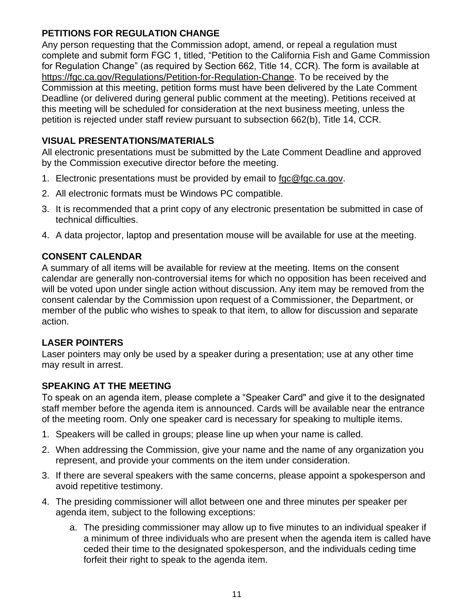# **PETITIONS FOR REGULATION CHANGE**

Any person requesting that the Commission adopt, amend, or repeal a regulation must complete and submit form FGC 1, titled, "Petition to the California Fish and Game Commission for Regulation Change" (as required by Section 662, Title 14, CCR). The form is available at [https://fgc.ca.gov/Regulations/Petition-for-Regulation-Change.](https://fgc.ca.gov/Regulations/Petition-for-Regulation-Change) To be received by the Commission at this meeting, petition forms must have been delivered by the Late Comment Deadline (or delivered during general public comment at the meeting). Petitions received at this meeting will be scheduled for consideration at the next business meeting, unless the petition is rejected under staff review pursuant to subsection 662(b), Title 14, CCR.

# **VISUAL PRESENTATIONS/MATERIALS**

All electronic presentations must be submitted by the Late Comment Deadline and approved by the Commission executive director before the meeting.

- 1. Electronic presentations must be provided by email to [fgc@fgc.ca.gov.](file://///HQGroup3.AD.Dfg.Ca.Gov/HQ10/Groups/FGC/Meetings/Agendas/2019/12%20Dec%2011-12%20FGC/Drafts/fgc@fgc.ca.gov)
- 2. All electronic formats must be Windows PC compatible.
- 3. It is recommended that a print copy of any electronic presentation be submitted in case of technical difficulties.
- 4. A data projector, laptop and presentation mouse will be available for use at the meeting.

# **CONSENT CALENDAR**

A summary of all items will be available for review at the meeting. Items on the consent calendar are generally non-controversial items for which no opposition has been received and will be voted upon under single action without discussion. Any item may be removed from the consent calendar by the Commission upon request of a Commissioner, the Department, or member of the public who wishes to speak to that item, to allow for discussion and separate action.

## **LASER POINTERS**

Laser pointers may only be used by a speaker during a presentation; use at any other time may result in arrest.

## **SPEAKING AT THE MEETING**

To speak on an agenda item, please complete a "Speaker Card" and give it to the designated staff member before the agenda item is announced. Cards will be available near the entrance of the meeting room. Only one speaker card is necessary for speaking to multiple items.

- 1. Speakers will be called in groups; please line up when your name is called.
- 2. When addressing the Commission, give your name and the name of any organization you represent, and provide your comments on the item under consideration.
- 3. If there are several speakers with the same concerns, please appoint a spokesperson and avoid repetitive testimony.
- 4. The presiding commissioner will allot between one and three minutes per speaker per agenda item, subject to the following exceptions:
	- a. The presiding commissioner may allow up to five minutes to an individual speaker if a minimum of three individuals who are present when the agenda item is called have ceded their time to the designated spokesperson, and the individuals ceding time forfeit their right to speak to the agenda item.